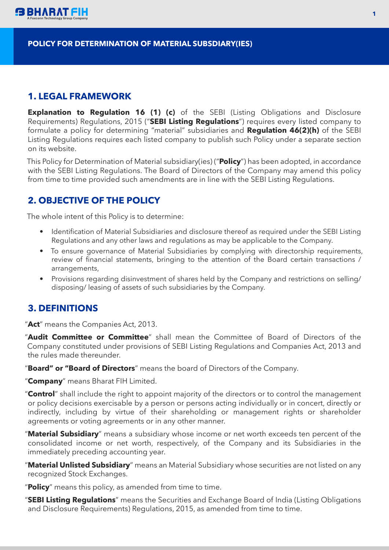

#### **POLICY FOR DETERMINATION OF MATERIAL SUBSDIARY(IES)**

### **1. LEGAL FRAMEWORK**

**Explanation to Regulation 16 (1) (c)** of the SEBI (Listing Obligations and Disclosure Requirements) Regulations, 2015 ("**SEBI Listing Regulations**") requires every listed company to formulate a policy for determining "material" subsidiaries and **Regulation 46(2)(h)** of the SEBI Listing Regulations requires each listed company to publish such Policy under a separate section on its website.

This Policy for Determination of Material subsidiary(ies) ("**Policy**") has been adopted, in accordance with the SEBI Listing Regulations. The Board of Directors of the Company may amend this policy from time to time provided such amendments are in line with the SEBI Listing Regulations.

# **2. OBJECTIVE OF THE POLICY**

The whole intent of this Policy is to determine:

- Identification of Material Subsidiaries and disclosure thereof as required under the SEBI Listing Regulations and any other laws and regulations as may be applicable to the Company.
- To ensure governance of Material Subsidiaries by complying with directorship requirements, review of financial statements, bringing to the attention of the Board certain transactions / arrangements,
- Provisions regarding disinvestment of shares held by the Company and restrictions on selling/ disposing/ leasing of assets of such subsidiaries by the Company.

#### **3. DEFINITIONS**

"**Act**" means the Companies Act, 2013.

"**Audit Committee or Committee**" shall mean the Committee of Board of Directors of the Company constituted under provisions of SEBI Listing Regulations and Companies Act, 2013 and the rules made thereunder.

"**Board" or "Board of Directors**" means the board of Directors of the Company.

"**Company**" means Bharat FIH Limited.

"**Control**" shall include the right to appoint majority of the directors or to control the management or policy decisions exercisable by a person or persons acting individually or in concert, directly or indirectly, including by virtue of their shareholding or management rights or shareholder agreements or voting agreements or in any other manner.

"**Material Subsidiary**" means a subsidiary whose income or net worth exceeds ten percent of the consolidated income or net worth, respectively, of the Company and its Subsidiaries in the immediately preceding accounting year.

"**Material Unlisted Subsidiary**" means an Material Subsidiary whose securities are not listed on any recognized Stock Exchanges.

"**Policy**" means this policy, as amended from time to time.

"**SEBI Listing Regulations**" means the Securities and Exchange Board of India (Listing Obligations and Disclosure Requirements) Regulations, 2015, as amended from time to time.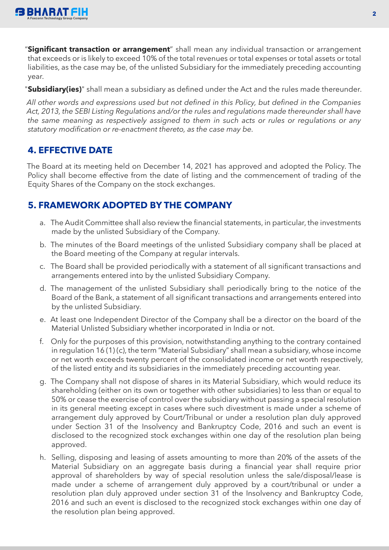

"**Significant transaction or arrangement**" shall mean any individual transaction or arrangement that exceeds or is likely to exceed 10% of the total revenues or total expenses or total assets or total liabilities, as the case may be, of the unlisted Subsidiary for the immediately preceding accounting year.

"**Subsidiary(ies)**" shall mean a subsidiary as defined under the Act and the rules made thereunder.

*All other words and expressions used but not defined in this Policy, but defined in the Companies Act, 2013, the SEBI Listing Regulations and/or the rules and regulations made thereunder shall have the same meaning as respectively assigned to them in such acts or rules or regulations or any statutory modification or re-enactment thereto, as the case may be.*

# **4. EFFECTIVE DATE**

The Board at its meeting held on December 14, 2021 has approved and adopted the Policy. The Policy shall become effective from the date of listing and the commencement of trading of the Equity Shares of the Company on the stock exchanges.

# **5. FRAMEWORK ADOPTED BY THE COMPANY**

- a. The Audit Committee shall also review the financial statements, in particular, the investments made by the unlisted Subsidiary of the Company.
- b. The minutes of the Board meetings of the unlisted Subsidiary company shall be placed at the Board meeting of the Company at regular intervals.
- c. The Board shall be provided periodically with a statement of all significant transactions and arrangements entered into by the unlisted Subsidiary Company.
- d. The management of the unlisted Subsidiary shall periodically bring to the notice of the Board of the Bank, a statement of all significant transactions and arrangements entered into by the unlisted Subsidiary.
- e. At least one Independent Director of the Company shall be a director on the board of the Material Unlisted Subsidiary whether incorporated in India or not.
- f. Only for the purposes of this provision, notwithstanding anything to the contrary contained in regulation 16 (1) (c), the term "Material Subsidiary" shall mean a subsidiary, whose income or net worth exceeds twenty percent of the consolidated income or net worth respectively, of the listed entity and its subsidiaries in the immediately preceding accounting year.
- g. The Company shall not dispose of shares in its Material Subsidiary, which would reduce its shareholding (either on its own or together with other subsidiaries) to less than or equal to 50% or cease the exercise of control over the subsidiary without passing a special resolution in its general meeting except in cases where such divestment is made under a scheme of arrangement duly approved by Court/Tribunal or under a resolution plan duly approved under Section 31 of the Insolvency and Bankruptcy Code, 2016 and such an event is disclosed to the recognized stock exchanges within one day of the resolution plan being approved.
- h. Selling, disposing and leasing of assets amounting to more than 20% of the assets of the Material Subsidiary on an aggregate basis during a financial year shall require prior approval of shareholders by way of special resolution unless the sale/disposal/lease is made under a scheme of arrangement duly approved by a court/tribunal or under a resolution plan duly approved under section 31 of the Insolvency and Bankruptcy Code, 2016 and such an event is disclosed to the recognized stock exchanges within one day of the resolution plan being approved.